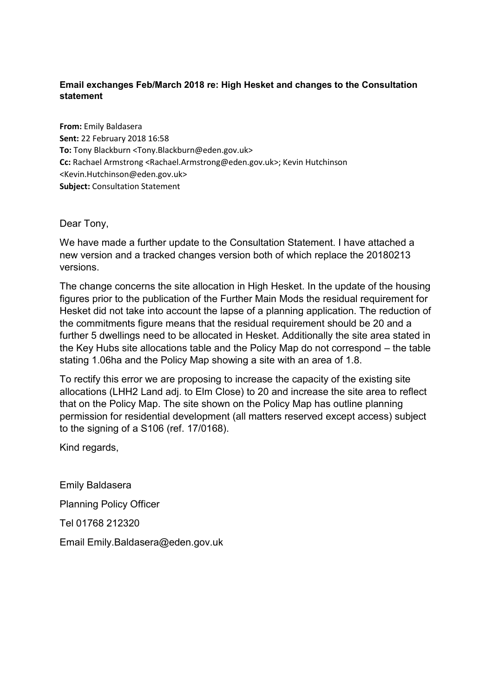## **Email exchanges Feb/March 2018 re: High Hesket and changes to the Consultation statement**

**From:** Emily Baldasera **Sent:** 22 February 2018 16:58 **To:** Tony Blackburn <Tony.Blackburn@eden.gov.uk> **Cc:** Rachael Armstrong <Rachael.Armstrong@eden.gov.uk>; Kevin Hutchinson <Kevin.Hutchinson@eden.gov.uk> **Subject:** Consultation Statement

Dear Tony,

We have made a further update to the Consultation Statement. I have attached a new version and a tracked changes version both of which replace the 20180213 versions.

The change concerns the site allocation in High Hesket. In the update of the housing figures prior to the publication of the Further Main Mods the residual requirement for Hesket did not take into account the lapse of a planning application. The reduction of the commitments figure means that the residual requirement should be 20 and a further 5 dwellings need to be allocated in Hesket. Additionally the site area stated in the Key Hubs site allocations table and the Policy Map do not correspond – the table stating 1.06ha and the Policy Map showing a site with an area of 1.8.

To rectify this error we are proposing to increase the capacity of the existing site allocations (LHH2 Land adj. to Elm Close) to 20 and increase the site area to reflect that on the Policy Map. The site shown on the Policy Map has outline planning permission for residential development (all matters reserved except access) subject to the signing of a S106 (ref. 17/0168).

Kind regards,

Emily Baldasera Planning Policy Officer Tel 01768 212320 Email Emily.Baldasera@eden.gov.uk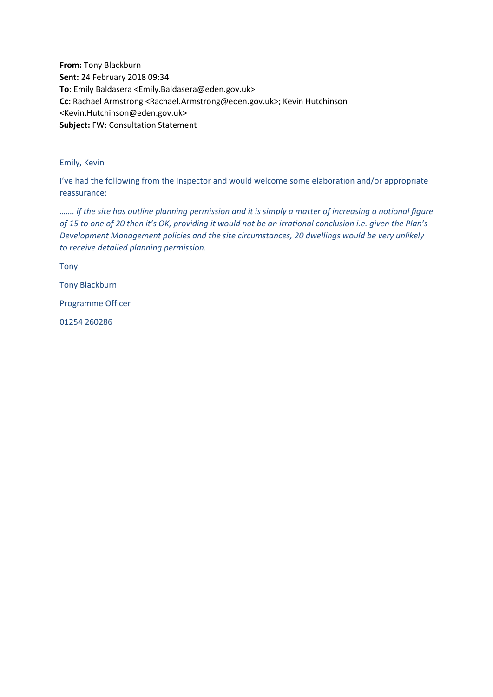**From:** Tony Blackburn **Sent:** 24 February 2018 09:34 **To:** Emily Baldasera <Emily.Baldasera@eden.gov.uk> **Cc:** Rachael Armstrong <Rachael.Armstrong@eden.gov.uk>; Kevin Hutchinson <Kevin.Hutchinson@eden.gov.uk> **Subject:** FW: Consultation Statement

## Emily, Kevin

I've had the following from the Inspector and would welcome some elaboration and/or appropriate reassurance:

*……. if the site has outline planning permission and it is simply a matter of increasing a notional figure of 15 to one of 20 then it's OK, providing it would not be an irrational conclusion i.e. given the Plan's Development Management policies and the site circumstances, 20 dwellings would be very unlikely to receive detailed planning permission.* 

Tony

Tony Blackburn

Programme Officer

01254 260286